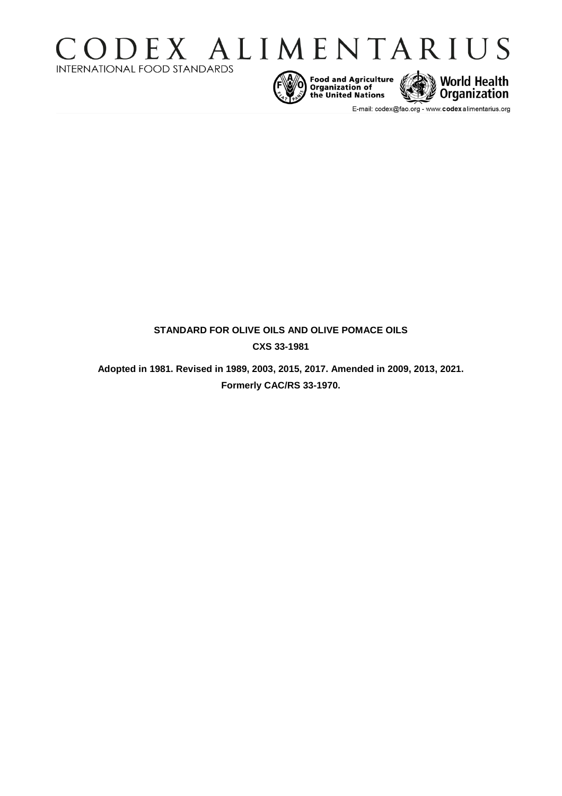







E-mail: codex@fao.org - www.codexalimentarius.org

# **STANDARD FOR OLIVE OILS AND OLIVE POMACE OILS CXS 33-1981**

**Adopted in 1981. Revised in 1989, 2003, 2015, 2017. Amended in 2009, 2013, 2021. Formerly CAC/RS 33-1970.**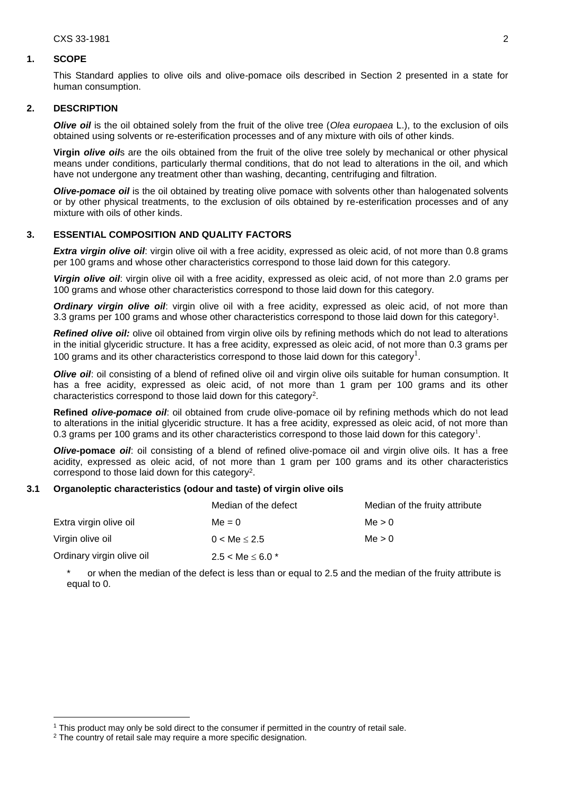### **1. SCOPE**

This Standard applies to olive oils and olive-pomace oils described in Section 2 presented in a state for human consumption.

# **2. DESCRIPTION**

*Olive oil* is the oil obtained solely from the fruit of the olive tree (*Olea europaea* L.), to the exclusion of oils obtained using solvents or re-esterification processes and of any mixture with oils of other kinds.

**Virgin** *olive oil*s are the oils obtained from the fruit of the olive tree solely by mechanical or other physical means under conditions, particularly thermal conditions, that do not lead to alterations in the oil, and which have not undergone any treatment other than washing, decanting, centrifuging and filtration.

*Olive-pomace oil* is the oil obtained by treating olive pomace with solvents other than halogenated solvents or by other physical treatments, to the exclusion of oils obtained by re-esterification processes and of any mixture with oils of other kinds.

# **3. ESSENTIAL COMPOSITION AND QUALITY FACTORS**

*Extra virgin olive oil*: virgin olive oil with a free acidity, expressed as oleic acid, of not more than 0.8 grams per 100 grams and whose other characteristics correspond to those laid down for this category.

*Virgin olive oil*: virgin olive oil with a free acidity, expressed as oleic acid, of not more than 2.0 grams per 100 grams and whose other characteristics correspond to those laid down for this category.

<span id="page-1-0"></span>*Ordinary virgin olive oil*: virgin olive oil with a free acidity, expressed as oleic acid, of not more than 3.3 grams per 100 grams and whose other characteristics correspond to those laid down for this category<sup>1</sup>.

*Refined olive oil:* olive oil obtained from virgin olive oils by refining methods which do not lead to alterations in the initial glyceridic structure. It has a free acidity, expressed as oleic acid, of not more than 0.3 grams per [1](#page-1-0)00 grams and its other characteristics correspond to those laid down for this category<sup>1</sup>.

*Olive oil*: oil consisting of a blend of refined olive oil and virgin olive oils suitable for human consumption. It has a free acidity, expressed as oleic acid, of not more than 1 gram per 100 grams and its other characteristics correspond to those laid down for this category<sup>2</sup>.

<span id="page-1-1"></span>**Refined** *olive-pomace oil*: oil obtained from crude olive-pomace oil by refining methods which do not lead to alterations in the initial glyceridic structure. It has a free acidity, expressed as oleic acid, of not more than 0[.](#page-1-0)3 grams per 100 grams and its other characteristics correspond to those laid down for this category<sup>1</sup>.

*Olive-***pomace** *oil*: oil consisting of a blend of refined olive-pomace oil and virgin olive oils. It has a free acidity, expressed as oleic acid, of not more than 1 gram per 100 grams and its other characteristics correspond to those laid down for this category<sup>2</sup>[.](#page-1-1)

#### **3.1 Organoleptic characteristics (odour and taste) of virgin olive oils**

|                                    | Median of the defect        | Median of the fruity attribute |  |
|------------------------------------|-----------------------------|--------------------------------|--|
| Extra virgin olive oil<br>$Me = 0$ |                             | Me > 0                         |  |
| Virgin olive oil                   | Me > 0<br>$0 < Me \leq 2.5$ |                                |  |
| Ordinary virgin olive oil          | $2.5 < Me \leq 6.0$ *       |                                |  |

or when the median of the defect is less than or equal to 2.5 and the median of the fruity attribute is equal to 0.

 $\overline{a}$ 

<sup>1</sup> This product may only be sold direct to the consumer if permitted in the country of retail sale.

 $2$  The country of retail sale may require a more specific designation.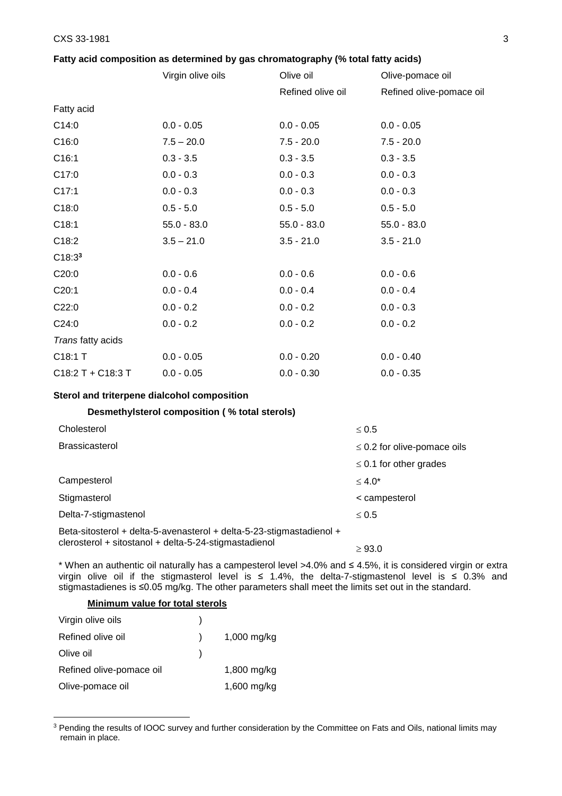# **Fatty acid composition as determined by gas chromatography (% total fatty acids)**

|                     | Virgin olive oils | Olive oil         | Olive-pomace oil         |
|---------------------|-------------------|-------------------|--------------------------|
|                     |                   | Refined olive oil | Refined olive-pomace oil |
| Fatty acid          |                   |                   |                          |
| C14:0               | $0.0 - 0.05$      | $0.0 - 0.05$      | $0.0 - 0.05$             |
| C16:0               | $7.5 - 20.0$      | $7.5 - 20.0$      | $7.5 - 20.0$             |
| C16:1               | $0.3 - 3.5$       | $0.3 - 3.5$       | $0.3 - 3.5$              |
| C17:0               | $0.0 - 0.3$       | $0.0 - 0.3$       | $0.0 - 0.3$              |
| C17:1               | $0.0 - 0.3$       | $0.0 - 0.3$       | $0.0 - 0.3$              |
| C18:0               | $0.5 - 5.0$       | $0.5 - 5.0$       | $0.5 - 5.0$              |
| C18:1               | $55.0 - 83.0$     | $55.0 - 83.0$     | $55.0 - 83.0$            |
| C18:2               | $3.5 - 21.0$      | $3.5 - 21.0$      | $3.5 - 21.0$             |
| $C18:3^3$           |                   |                   |                          |
| C20:0               | $0.0 - 0.6$       | $0.0 - 0.6$       | $0.0 - 0.6$              |
| C20:1               | $0.0 - 0.4$       | $0.0 - 0.4$       | $0.0 - 0.4$              |
| C22:0               | $0.0 - 0.2$       | $0.0 - 0.2$       | $0.0 - 0.3$              |
| C24:0               | $0.0 - 0.2$       | $0.0 - 0.2$       | $0.0 - 0.2$              |
| Trans fatty acids   |                   |                   |                          |
| C18:1 T             | $0.0 - 0.05$      | $0.0 - 0.20$      | $0.0 - 0.40$             |
| $C18:2 T + C18:3 T$ | $0.0 - 0.05$      | $0.0 - 0.30$      | $0.0 - 0.35$             |

### **Sterol and triterpene dialcohol composition**

# **Desmethylsterol composition ( % total sterols)**

| Cholesterol                                                                                                                   | $\leq 0.5$                       |
|-------------------------------------------------------------------------------------------------------------------------------|----------------------------------|
| <b>Brassicasterol</b>                                                                                                         | $\leq$ 0.2 for olive-pomace oils |
|                                                                                                                               | $\leq$ 0.1 for other grades      |
| Campesterol                                                                                                                   | $\leq 4.0^*$                     |
| Stigmasterol                                                                                                                  | < campesterol                    |
| Delta-7-stigmastenol                                                                                                          | $\leq 0.5$                       |
| Beta-sitosterol + delta-5-avenasterol + delta-5-23-stigmastadienol +<br>clerosterol + sitostanol + delta-5-24-stigmastadienol | $\geq 93.0$                      |

\* When an authentic oil naturally has a campesterol level >4.0% and ≤ 4.5%, it is considered virgin or extra virgin olive oil if the stigmasterol level is ≤ 1.4%, the delta-7-stigmastenol level is ≤ 0.3% and stigmastadienes is ≤0.05 mg/kg. The other parameters shall meet the limits set out in the standard.

# **Minimum value for total sterols**

 $\overline{a}$ 

| Virgin olive oils        |             |
|--------------------------|-------------|
| Refined olive oil        | 1,000 mg/kg |
| Olive oil                |             |
| Refined olive-pomace oil | 1,800 mg/kg |
| Olive-pomace oil         | 1,600 mg/kg |

<sup>&</sup>lt;sup>3</sup> Pending the results of IOOC survey and further consideration by the Committee on Fats and Oils, national limits may remain in place.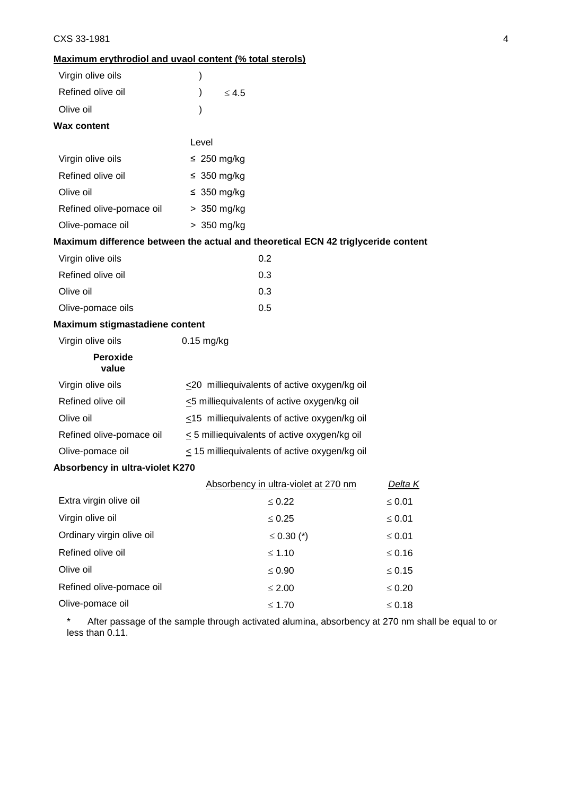# **Maximum erythrodiol and uvaol content (% total sterols)**

| Virgin olive oils               | )                                                                                 |                |  |  |
|---------------------------------|-----------------------------------------------------------------------------------|----------------|--|--|
| Refined olive oil               | $\leq 4.5$                                                                        |                |  |  |
| Olive oil                       |                                                                                   |                |  |  |
| <b>Wax content</b>              |                                                                                   |                |  |  |
|                                 | Level                                                                             |                |  |  |
| Virgin olive oils               | $\leq 250$ mg/kg                                                                  |                |  |  |
| Refined olive oil               | $\leq 350$ mg/kg                                                                  |                |  |  |
| Olive oil                       | ≤ 350 mg/kg                                                                       |                |  |  |
| Refined olive-pomace oil        | > 350 mg/kg                                                                       |                |  |  |
| Olive-pomace oil                | > 350 mg/kg                                                                       |                |  |  |
|                                 | Maximum difference between the actual and theoretical ECN 42 triglyceride content |                |  |  |
| Virgin olive oils               | 0.2                                                                               |                |  |  |
| Refined olive oil               | 0.3                                                                               |                |  |  |
| Olive oil                       | 0.3                                                                               |                |  |  |
| Olive-pomace oils               | 0.5                                                                               |                |  |  |
| Maximum stigmastadiene content  |                                                                                   |                |  |  |
| Virgin olive oils               | $0.15$ mg/kg                                                                      |                |  |  |
| <b>Peroxide</b><br>value        |                                                                                   |                |  |  |
| Virgin olive oils               | $\leq$ 20 milliequivalents of active oxygen/kg oil                                |                |  |  |
| Refined olive oil               | <5 milliequivalents of active oxygen/kg oil                                       |                |  |  |
| Olive oil                       | $\leq$ 15 milliequivalents of active oxygen/kg oil                                |                |  |  |
| Refined olive-pomace oil        | $\leq$ 5 milliequivalents of active oxygen/kg oil                                 |                |  |  |
| Olive-pomace oil                | $\leq$ 15 milliequivalents of active oxygen/kg oil                                |                |  |  |
| Absorbency in ultra-violet K270 |                                                                                   |                |  |  |
|                                 | Absorbency in ultra-violet at 270 nm                                              | <u>Delta K</u> |  |  |
| Extra virgin olive oil          | $\leq 0.22$                                                                       | $\leq 0.01$    |  |  |
| Virgin olive oil                | $\leq 0.25$                                                                       | $\leq 0.01$    |  |  |
| Ordinary virgin olive oil       | $\leq$ 0.30 (*)                                                                   | $\leq 0.01$    |  |  |
| Refined olive oil               | $≤ 1.10$                                                                          | $\leq 0.16$    |  |  |
| Olive oil                       | $\leq 0.90$                                                                       | $\leq 0.15$    |  |  |
| Refined olive-pomace oil        | $\leq 2.00$                                                                       | $\leq 0.20$    |  |  |
| Olive-pomace oil                | $\leq 1.70$                                                                       | $\leq 0.18$    |  |  |

After passage of the sample through activated alumina, absorbency at 270 nm shall be equal to or less than 0.11.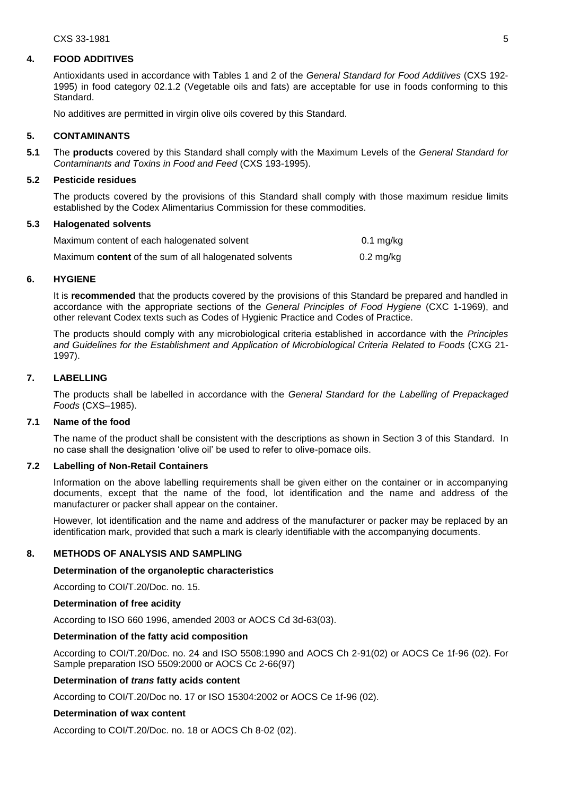#### **4. FOOD ADDITIVES**

Antioxidants used in accordance with Tables 1 and 2 of the *General Standard for Food Additives* (CXS 192- 1995) in food category 02.1.2 (Vegetable oils and fats) are acceptable for use in foods conforming to this Standard.

No additives are permitted in virgin olive oils covered by this Standard.

#### **5. CONTAMINANTS**

**5.1** The **products** covered by this Standard shall comply with the Maximum Levels of the *General Standard for Contaminants and Toxins in Food and Feed* (CXS 193-1995).

### **5.2 Pesticide residues**

The products covered by the provisions of this Standard shall comply with those maximum residue limits established by the Codex Alimentarius Commission for these commodities.

### **5.3 Halogenated solvents**

| Maximum content of each halogenated solvent                   | $0.1$ mg/kg         |
|---------------------------------------------------------------|---------------------|
| Maximum <b>content</b> of the sum of all halogenated solvents | $0.2 \text{ mg/kg}$ |

#### **6. HYGIENE**

It is **recommended** that the products covered by the provisions of this Standard be prepared and handled in accordance with the appropriate sections of the *General Principles of Food Hygiene* (CXC 1-1969), and other relevant Codex texts such as Codes of Hygienic Practice and Codes of Practice.

The products should comply with any microbiological criteria established in accordance with the *Principles and Guidelines for the Establishment and Application of Microbiological Criteria Related to Foods* (CXG 21- 1997).

# **7. LABELLING**

The products shall be labelled in accordance with the *General Standard for the Labelling of Prepackaged Foods* (CXS–1985).

### **7.1 Name of the food**

The name of the product shall be consistent with the descriptions as shown in Section 3 of this Standard. In no case shall the designation 'olive oil' be used to refer to olive-pomace oils.

### **7.2 Labelling of Non-Retail Containers**

Information on the above labelling requirements shall be given either on the container or in accompanying documents, except that the name of the food, lot identification and the name and address of the manufacturer or packer shall appear on the container.

However, lot identification and the name and address of the manufacturer or packer may be replaced by an identification mark, provided that such a mark is clearly identifiable with the accompanying documents.

### **8. METHODS OF ANALYSIS AND SAMPLING**

#### **Determination of the organoleptic characteristics**

According to COI/T.20/Doc. no. 15.

#### **Determination of free acidity**

According to ISO 660 1996, amended 2003 or AOCS Cd 3d-63(03).

### **Determination of the fatty acid composition**

According to COI/T.20/Doc. no. 24 and ISO 5508:1990 and AOCS Ch 2-91(02) or AOCS Ce 1f-96 (02). For Sample preparation ISO 5509:2000 or AOCS Cc 2-66(97)

### **Determination of** *trans* **fatty acids content**

According to COI/T.20/Doc no. 17 or ISO 15304:2002 or AOCS Ce 1f-96 (02).

### **Determination of wax content**

According to COI/T.20/Doc. no. 18 or AOCS Ch 8-02 (02).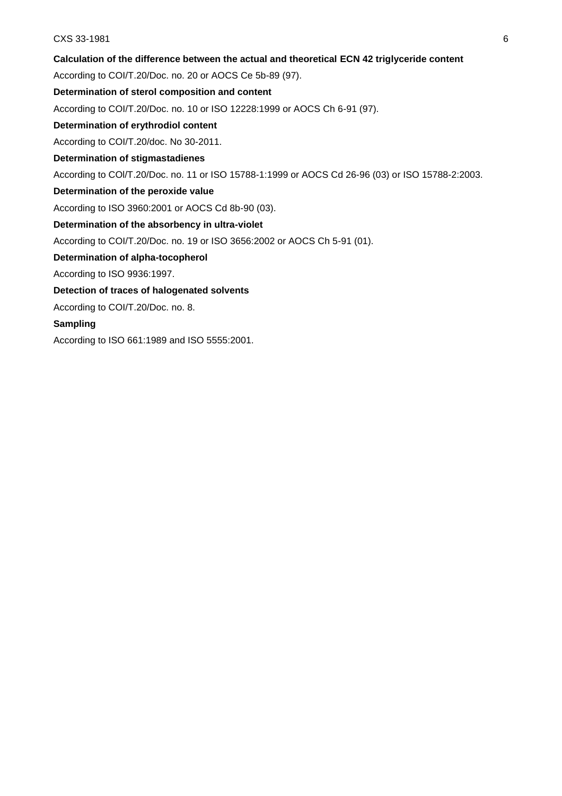# **Calculation of the difference between the actual and theoretical ECN 42 triglyceride content**

According to COI/T.20/Doc. no. 20 or AOCS Ce 5b-89 (97).

# **Determination of sterol composition and content**

According to COI/T.20/Doc. no. 10 or ISO 12228:1999 or AOCS Ch 6-91 (97).

# **Determination of erythrodiol content**

According to COI/T.20/doc. No 30-2011.

# **Determination of stigmastadienes**

According to COl/T.20/Doc. no. 11 or ISO 15788-1:1999 or AOCS Cd 26-96 (03) or ISO 15788-2:2003.

# **Determination of the peroxide value**

According to ISO 3960:2001 or AOCS Cd 8b-90 (03).

# **Determination of the absorbency in ultra-violet**

According to COI/T.20/Doc. no. 19 or ISO 3656:2002 or AOCS Ch 5-91 (01).

# **Determination of alpha-tocopherol**

According to ISO 9936:1997.

# **Detection of traces of halogenated solvents**

According to COI/T.20/Doc. no. 8.

# **Sampling**

According to ISO 661:1989 and ISO 5555:2001.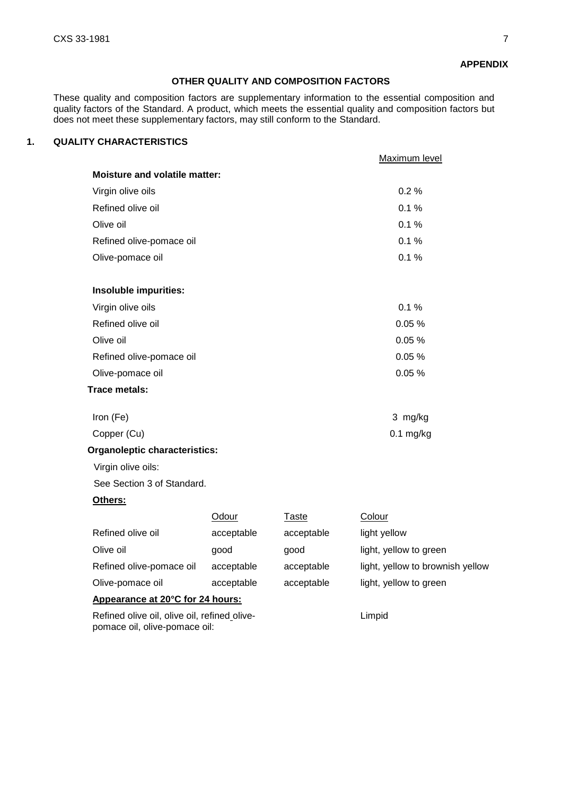### **APPENDIX**

# **OTHER QUALITY AND COMPOSITION FACTORS**

These quality and composition factors are supplementary information to the essential composition and quality factors of the Standard. A product, which meets the essential quality and composition factors but does not meet these supplementary factors, may still conform to the Standard.

# **1. QUALITY CHARACTERISTICS**

|                                      |            |              | Maximum level                    |
|--------------------------------------|------------|--------------|----------------------------------|
| <b>Moisture and volatile matter:</b> |            |              |                                  |
| Virgin olive oils                    |            |              | 0.2%                             |
| Refined olive oil                    |            |              | 0.1%                             |
| Olive oil                            |            |              | 0.1%                             |
| Refined olive-pomace oil             |            |              | 0.1%                             |
| Olive-pomace oil                     |            |              | 0.1%                             |
| Insoluble impurities:                |            |              |                                  |
| Virgin olive oils                    |            |              | 0.1%                             |
| Refined olive oil                    |            |              | 0.05%                            |
| Olive oil                            |            |              | 0.05%                            |
| Refined olive-pomace oil             |            |              | 0.05%                            |
| Olive-pomace oil                     |            |              | 0.05%                            |
| Trace metals:                        |            |              |                                  |
| Iron (Fe)                            |            |              | 3 mg/kg                          |
| Copper (Cu)                          |            |              | $0.1$ mg/kg                      |
| <b>Organoleptic characteristics:</b> |            |              |                                  |
| Virgin olive oils:                   |            |              |                                  |
| See Section 3 of Standard.           |            |              |                                  |
| Others:                              |            |              |                                  |
|                                      | Odour      | <b>Taste</b> | Colour                           |
| Refined olive oil                    | acceptable | acceptable   | light yellow                     |
| Olive oil                            | good       | good         | light, yellow to green           |
| Refined olive-pomace oil             | acceptable | acceptable   | light, yellow to brownish yellow |

Olive-pomace oil acceptable acceptable light, yellow to green

**Appearance at 20°C for 24 hours:**

Refined olive oil, olive oil, refined olivepomace oil, olive-pomace oil:

Limpid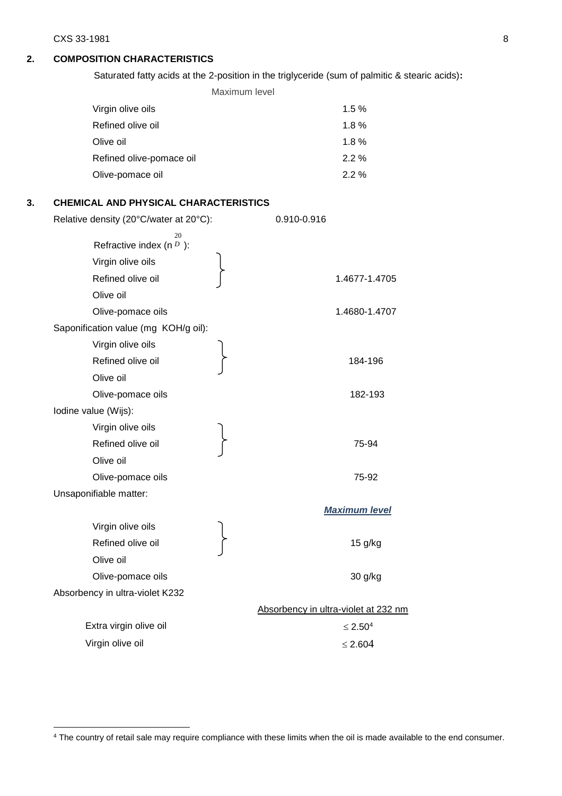<span id="page-7-0"></span> $\overline{a}$ 

# **2. COMPOSITION CHARACTERISTICS**

Saturated fatty acids at the 2-position in the triglyceride (sum of palmitic & stearic acids)**:**

Maximum level Virgin olive oils 1.5 % Refined olive oil 1.8 % Olive oil **Olive oil** Refined olive-pomace oil 2.2 % Olive-pomace oil 2.2 %

# **3. CHEMICAL AND PHYSICAL CHARACTERISTICS**

| Relative density (20°C/water at 20°C): | 0.910-0.916                          |
|----------------------------------------|--------------------------------------|
| 20<br>Refractive index (n $D$ ):       |                                      |
| Virgin olive oils                      |                                      |
| Refined olive oil                      | 1.4677-1.4705                        |
| Olive oil                              |                                      |
| Olive-pomace oils                      | 1.4680-1.4707                        |
| Saponification value (mg KOH/g oil):   |                                      |
| Virgin olive oils                      |                                      |
| Refined olive oil                      | 184-196                              |
| Olive oil                              |                                      |
| Olive-pomace oils                      | 182-193                              |
| Iodine value (Wijs):                   |                                      |
| Virgin olive oils                      |                                      |
| Refined olive oil                      | 75-94                                |
| Olive oil                              |                                      |
| Olive-pomace oils                      | 75-92                                |
| Unsaponifiable matter:                 |                                      |
|                                        | <b>Maximum level</b>                 |
| Virgin olive oils                      |                                      |
| Refined olive oil                      | 15 g/kg                              |
| Olive oil                              |                                      |
| Olive-pomace oils                      | 30 g/kg                              |
| Absorbency in ultra-violet K232        |                                      |
|                                        | Absorbency in ultra-violet at 232 nm |
| Extra virgin olive oil                 | ≤ 2.50 <sup>4</sup>                  |
| Virgin olive oil                       | $\leq$ 2.604                         |
|                                        |                                      |

<sup>&</sup>lt;sup>4</sup> The country of retail sale may require compliance with these limits when the oil is made available to the end consumer.